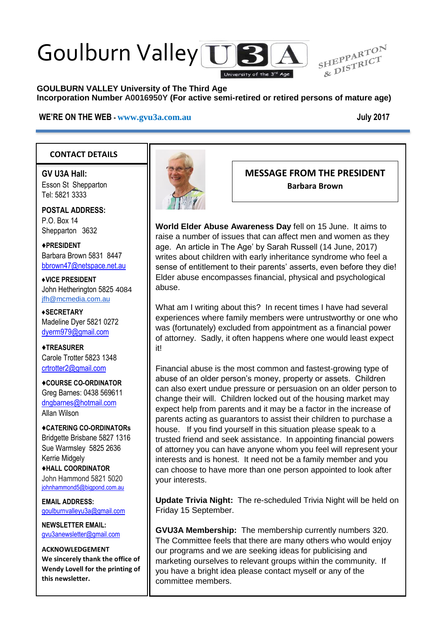# Goulburn Valley US



#### **GOULBURN VALLEY University of The Third Age Incorporation Number A0016950Y (For active semi-retired or retired persons of mature age)**

#### **WE'RE ON THE WEB - [www.gvu3a.com.au](http://www.gvu3a.com.au/) July 2017**

## **CONTACT DETAILS**

**GV U3A Hall:** Esson St Shepparton Tel: 5821 3333

**POSTAL ADDRESS:** P.O. Box 14 Shepparton 3632

♦**PRESIDENT** Barbara Brown 5831 8447 [bbrown47@netspace.net.au](mailto:bbrown47@netspace.net.au)

**♦VICE PRESIDENT** John Hetherington 5825 4084 [jfh@mcmedia.com.au](mailto:jfh@mcmedia.com.au)

**♦SECRETARY** Madeline Dyer 5821 0272 [dyerm979@gmail.com](mailto:dyerm979@gmail.com)

♦**TREASURER** Carole Trotter 5823 1348 crtrotter2@gmail.com

♦**COURSE CO-ORDINATOR** Greg Barnes: 0438 569611 [dngbarnes@hotmail.com](mailto:dngbarnes@hotmail.com) Allan Wilson

♦**CATERING CO-ORDINATORs** Bridgette Brisbane 5827 1316 Sue Warmsley 5825 2636 Kerrie Midgely ♦**HALL COORDINATOR** John Hammond 5821 5020 [johnhammond5@bigpond.com.au](mailto:johnhammond5@bigpond.com.au)

**EMAIL ADDRESS:** [goulburnvalleyu3a@gmail.com](mailto:goulburnvalleyu3a@gmail.com)

**NEWSLETTER EMAIL:** [gvu3anewsletter@gmail.com](mailto:gvu3anewsletter@gmail.com)

**ACKNOWLEDGEMENT We sincerely thank the office of Wendy Lovell for the printing of this newsletter.**



## **MESSAGE FROM THE PRESIDENT Barbara Brown**

**World Elder Abuse Awareness Day** fell on 15 June. It aims to raise a number of issues that can affect men and women as they age. An article in The Age' by Sarah Russell (14 June, 2017) writes about children with early inheritance syndrome who feel a sense of entitlement to their parents' asserts, even before they die! Elder abuse encompasses financial, physical and psychological abuse.

What am I writing about this? In recent times I have had several experiences where family members were untrustworthy or one who was (fortunately) excluded from appointment as a financial power of attorney. Sadly, it often happens where one would least expect it!

Financial abuse is the most common and fastest-growing type of abuse of an older person's money, property or assets. Children can also exert undue pressure or persuasion on an older person to change their will. Children locked out of the housing market may expect help from parents and it may be a factor in the increase of parents acting as guarantors to assist their children to purchase a house. If you find yourself in this situation please speak to a trusted friend and seek assistance. In appointing financial powers of attorney you can have anyone whom you feel will represent your interests and is honest. It need not be a family member and you can choose to have more than one person appointed to look after your interests.

**Update Trivia Night:** The re-scheduled Trivia Night will be held on Friday 15 September.

**GVU3A Membership:** The membership currently numbers 320. The Committee feels that there are many others who would enjoy our programs and we are seeking ideas for publicising and marketing ourselves to relevant groups within the community. If you have a bright idea please contact myself or any of the committee members.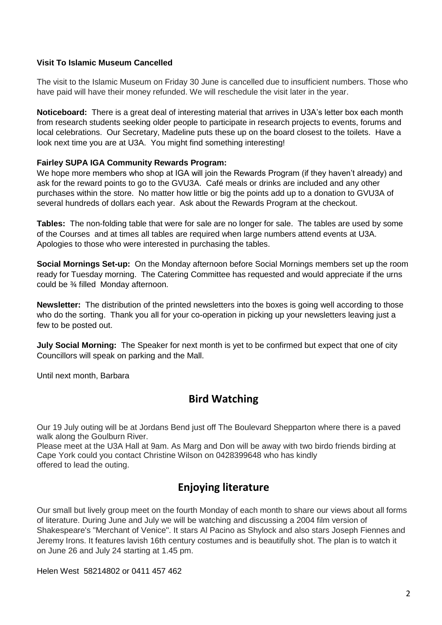#### **Visit To Islamic Museum Cancelled**

The visit to the Islamic Museum on Friday 30 June is cancelled due to insufficient numbers. Those who have paid will have their money refunded. We will reschedule the visit later in the year.

**Noticeboard:** There is a great deal of interesting material that arrives in U3A's letter box each month from research students seeking older people to participate in research projects to events, forums and local celebrations. Our Secretary, Madeline puts these up on the board closest to the toilets. Have a look next time you are at U3A. You might find something interesting!

#### **Fairley SUPA IGA Community Rewards Program:**

We hope more members who shop at IGA will join the Rewards Program (if they haven't already) and ask for the reward points to go to the GVU3A. Café meals or drinks are included and any other purchases within the store. No matter how little or big the points add up to a donation to GVU3A of several hundreds of dollars each year. Ask about the Rewards Program at the checkout.

**Tables:** The non-folding table that were for sale are no longer for sale. The tables are used by some of the Courses and at times all tables are required when large numbers attend events at U3A. Apologies to those who were interested in purchasing the tables.

**Social Mornings Set-up:** On the Monday afternoon before Social Mornings members set up the room ready for Tuesday morning. The Catering Committee has requested and would appreciate if the urns could be ¾ filled Monday afternoon.

**Newsletter:** The distribution of the printed newsletters into the boxes is going well according to those who do the sorting. Thank you all for your co-operation in picking up your newsletters leaving just a few to be posted out.

**July Social Morning:** The Speaker for next month is yet to be confirmed but expect that one of city Councillors will speak on parking and the Mall.

Until next month, Barbara

# **Bird Watching**

Our 19 July outing will be at Jordans Bend just off The Boulevard Shepparton where there is a paved walk along the Goulburn River.

Please meet at the U3A Hall at 9am. As Marg and Don will be away with two birdo friends birding at Cape York could you contact Christine Wilson on 0428399648 who has kindly offered to lead the outing.

# **Enjoying literature**

Our small but lively group meet on the fourth Monday of each month to share our views about all forms of literature. During June and July we will be watching and discussing a 2004 film version of Shakespeare's "Merchant of Venice". It stars Al Pacino as Shylock and also stars Joseph Fiennes and Jeremy Irons. It features lavish 16th century costumes and is beautifully shot. The plan is to watch it on June 26 and July 24 starting at 1.45 pm.

Helen West 58214802 or 0411 457 462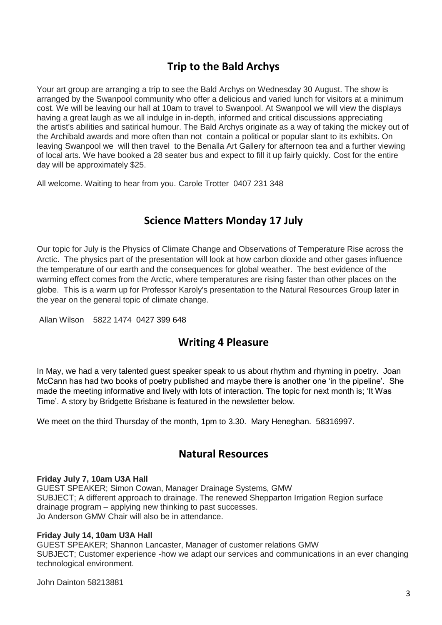# **Trip to the Bald Archys**

Your art group are arranging a trip to see the Bald Archys on Wednesday 30 August. The show is arranged by the Swanpool community who offer a delicious and varied lunch for visitors at a minimum cost. We will be leaving our hall at 10am to travel to Swanpool. At Swanpool we will view the displays having a great laugh as we all indulge in in-depth, informed and critical discussions appreciating the artist's abilities and satirical humour. The Bald Archys originate as a way of taking the mickey out of the Archibald awards and more often than not contain a political or popular slant to its exhibits. On leaving Swanpool we will then travel to the Benalla Art Gallery for afternoon tea and a further viewing of local arts. We have booked a 28 seater bus and expect to fill it up fairly quickly. Cost for the entire day will be approximately \$25.

All welcome. Waiting to hear from you. Carole Trotter 0407 231 348

# **Science Matters Monday 17 July**

Our topic for July is the Physics of Climate Change and Observations of Temperature Rise across the Arctic. The physics part of the presentation will look at how carbon dioxide and other gases influence the temperature of our earth and the consequences for global weather. The best evidence of the warming effect comes from the Arctic, where temperatures are rising faster than other places on the globe. This is a warm up for Professor Karoly's presentation to the Natural Resources Group later in the year on the general topic of climate change.

Allan Wilson 5822 1474 0427 399 648

# **Writing 4 Pleasure**

In May, we had a very talented guest speaker speak to us about rhythm and rhyming in poetry. Joan McCann has had two books of poetry published and maybe there is another one 'in the pipeline'. She made the meeting informative and lively with lots of interaction. The topic for next month is; 'It Was Time'. A story by Bridgette Brisbane is featured in the newsletter below.

We meet on the third Thursday of the month, 1pm to 3.30. Mary Heneghan. 58316997.

# **Natural Resources**

#### **Friday July 7, 10am U3A Hall**

GUEST SPEAKER; Simon Cowan, Manager Drainage Systems, GMW SUBJECT; A different approach to drainage. The renewed Shepparton Irrigation Region surface drainage program – applying new thinking to past successes. Jo Anderson GMW Chair will also be in attendance.

#### **Friday July 14, 10am U3A Hall**

GUEST SPEAKER; Shannon Lancaster, Manager of customer relations GMW SUBJECT; Customer experience -how we adapt our services and communications in an ever changing technological environment.

John Dainton 58213881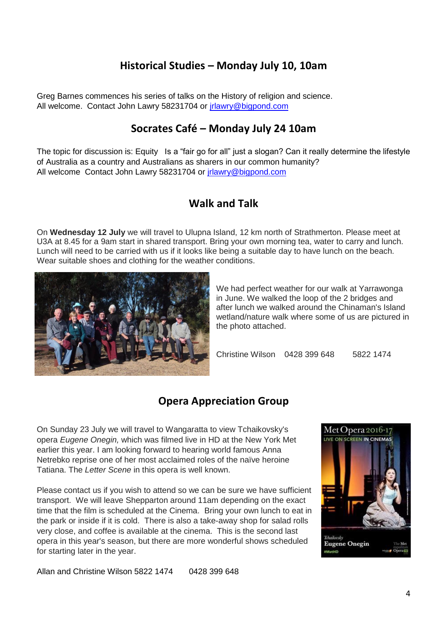# **Historical Studies – Monday July 10, 10am**

Greg Barnes commences his series of talks on the History of religion and science. All welcome. Contact John Lawry 58231704 or *irlawry@bigpond.com* 

# **Socrates Café – Monday July 24 10am**

The topic for discussion is: Equity Is a "fair go for all" just a slogan? Can it really determine the lifestyle of Australia as a country and Australians as sharers in our common humanity? All welcome Contact John Lawry 58231704 or [jrlawry@bigpond.com](mailto:jrlawry@bigpond.com)

## **Walk and Talk**

On **Wednesday 12 July** we will travel to Ulupna Island, 12 km north of Strathmerton. Please meet at U3A at 8.45 for a 9am start in shared transport. Bring your own morning tea, water to carry and lunch. Lunch will need to be carried with us if it looks like being a suitable day to have lunch on the beach. Wear suitable shoes and clothing for the weather conditions.



We had perfect weather for our walk at Yarrawonga in June. We walked the loop of the 2 bridges and after lunch we walked around the Chinaman's Island wetland/nature walk where some of us are pictured in the photo attached.

Christine Wilson 0428 399 648 5822 1474

# **Opera Appreciation Group**

On Sunday 23 July we will travel to Wangaratta to view Tchaikovsky's opera *Eugene Onegin,* which was filmed live in HD at the New York Met earlier this year. I am looking forward to hearing world famous Anna Netrebko reprise one of her most acclaimed roles of the naïve heroine Tatiana. The *Letter Scene* in this opera is well known.

Please contact us if you wish to attend so we can be sure we have sufficient transport. We will leave Shepparton around 11am depending on the exact time that the film is scheduled at the Cinema. Bring your own lunch to eat in the park or inside if it is cold. There is also a take-away shop for salad rolls very close, and coffee is available at the cinema. This is the second last opera in this year's season, but there are more wonderful shows scheduled for starting later in the year.



Allan and Christine Wilson 5822 1474 0428 399 648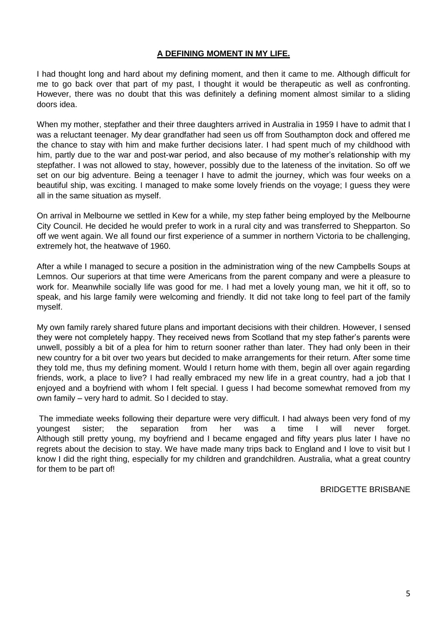#### **A DEFINING MOMENT IN MY LIFE.**

I had thought long and hard about my defining moment, and then it came to me. Although difficult for me to go back over that part of my past, I thought it would be therapeutic as well as confronting. However, there was no doubt that this was definitely a defining moment almost similar to a sliding doors idea.

When my mother, stepfather and their three daughters arrived in Australia in 1959 I have to admit that I was a reluctant teenager. My dear grandfather had seen us off from Southampton dock and offered me the chance to stay with him and make further decisions later. I had spent much of my childhood with him, partly due to the war and post-war period, and also because of my mother's relationship with my stepfather. I was not allowed to stay, however, possibly due to the lateness of the invitation. So off we set on our big adventure. Being a teenager I have to admit the journey, which was four weeks on a beautiful ship, was exciting. I managed to make some lovely friends on the voyage; I guess they were all in the same situation as myself.

On arrival in Melbourne we settled in Kew for a while, my step father being employed by the Melbourne City Council. He decided he would prefer to work in a rural city and was transferred to Shepparton. So off we went again. We all found our first experience of a summer in northern Victoria to be challenging, extremely hot, the heatwave of 1960.

After a while I managed to secure a position in the administration wing of the new Campbells Soups at Lemnos. Our superiors at that time were Americans from the parent company and were a pleasure to work for. Meanwhile socially life was good for me. I had met a lovely young man, we hit it off, so to speak, and his large family were welcoming and friendly. It did not take long to feel part of the family myself.

My own family rarely shared future plans and important decisions with their children. However, I sensed they were not completely happy. They received news from Scotland that my step father's parents were unwell, possibly a bit of a plea for him to return sooner rather than later. They had only been in their new country for a bit over two years but decided to make arrangements for their return. After some time they told me, thus my defining moment. Would I return home with them, begin all over again regarding friends, work, a place to live? I had really embraced my new life in a great country, had a job that I enjoyed and a boyfriend with whom I felt special. I guess I had become somewhat removed from my own family – very hard to admit. So I decided to stay.

The immediate weeks following their departure were very difficult. I had always been very fond of my youngest sister; the separation from her was a time I will never forget. Although still pretty young, my boyfriend and I became engaged and fifty years plus later I have no regrets about the decision to stay. We have made many trips back to England and I love to visit but I know I did the right thing, especially for my children and grandchildren. Australia, what a great country for them to be part of!

BRIDGETTE BRISBANE